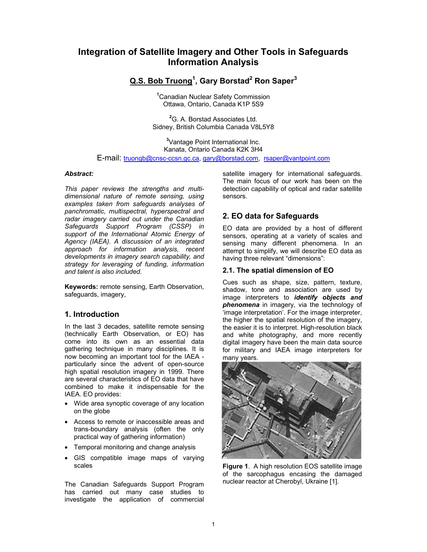# **Integration of Satellite Imagery and Other Tools in Safeguards Information Analysis**

# **Q.S. Bob Truong1 , Gary Borstad2 Ron Saper3**

**1** Canadian Nuclear Safety Commission Ottawa, Ontario, Canada K1P 5S9

**2** G. A. Borstad Associates Ltd. Sidney, British Columbia Canada V8L5Y8

**3** Vantage Point International Inc. Kanata, Ontario Canada K2K 3H4 E-mail: truongb@cnsc-ccsn.gc.ca, gary@borstad.com, rsaper@vantpoint.com

#### *Abstract:*

*This paper reviews the strengths and multidimensional nature of remote sensing, using examples taken from safeguards analyses of panchromatic, multispectral, hyperspectral and radar imagery carried out under the Canadian Safeguards Support Program (CSSP) in support of the International Atomic Energy of Agency (IAEA). A discussion of an integrated approach for information analysis, recent developments in imagery search capability, and strategy for leveraging of funding, information and talent is also included.* 

**Keywords:** remote sensing, Earth Observation, safeguards, imagery,

### **1. Introduction**

In the last 3 decades, satellite remote sensing (technically Earth Observation, or EO) has come into its own as an essential data gathering technique in many disciplines. It is now becoming an important tool for the IAEA particularly since the advent of open-source high spatial resolution imagery in 1999. There are several characteristics of EO data that have combined to make it indispensable for the IAEA. EO provides:

- Wide area synoptic coverage of any location on the globe
- Access to remote or inaccessible areas and trans-boundary analysis (often the only practical way of gathering information)
- Temporal monitoring and change analysis
- GIS compatible image maps of varying scales

The Canadian Safeguards Support Program has carried out many case studies to investigate the application of commercial

satellite imagery for international safeguards. The main focus of our work has been on the detection capability of optical and radar satellite sensors.

## **2. EO data for Safeguards**

EO data are provided by a host of different sensors, operating at a variety of scales and sensing many different phenomena. In an attempt to simplify, we will describe EO data as having three relevant "dimensions":

### **2.1. The spatial dimension of EO**

Cues such as shape, size, pattern, texture, shadow, tone and association are used by image interpreters to *identify objects and phenomena* in imagery, via the technology of 'image interpretation'. For the image interpreter, the higher the spatial resolution of the imagery, the easier it is to interpret. High-resolution black and white photography, and more recently digital imagery have been the main data source for military and IAEA image interpreters for many years.



**Figure 1**. A high resolution EOS satellite image of the sarcophagus encasing the damaged nuclear reactor at Cherobyl, Ukraine [1].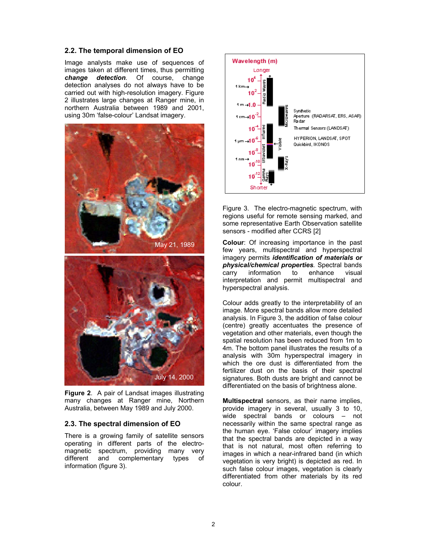#### **2.2. The temporal dimension of EO**

Image analysts make use of sequences of images taken at different times, thus permitting *change detection.* Of course, change detection analyses do not always have to be carried out with high-resolution imagery. Figure 2 illustrates large changes at Ranger mine, in northern Australia between 1989 and 2001, using 30m 'false-colour' Landsat imagery.





**Figure 2**. A pair of Landsat images illustrating many changes at Ranger mine, Northern Australia, between May 1989 and July 2000.

#### **2.3. The spectral dimension of EO**

There is a growing family of satellite sensors operating in different parts of the electromagnetic spectrum, providing many very different and complementary types of information (figure 3).



Figure 3. The electro-magnetic spectrum, with regions useful for remote sensing marked, and some representative Earth Observation satellite sensors - modified after CCRS [2]

**Colour**: Of increasing importance in the past few years, multispectral and hyperspectral imagery permits *identification of materials or*  **physical/chemical properties** Spectral bands<br>carry information to enhance visual carry information to enhance visual interpretation and permit multispectral and hyperspectral analysis.

Colour adds greatly to the interpretability of an image. More spectral bands allow more detailed analysis. In Figure 3, the addition of false colour (centre) greatly accentuates the presence of vegetation and other materials, even though the spatial resolution has been reduced from 1m to 4m. The bottom panel illustrates the results of a analysis with 30m hyperspectral imagery in which the ore dust is differentiated from the fertilizer dust on the basis of their spectral signatures. Both dusts are bright and cannot be differentiated on the basis of brightness alone.

**Multispectral** sensors, as their name implies, provide imagery in several, usually 3 to 10, wide spectral bands or colours – not necessarily within the same spectral range as the human eye. 'False colour' imagery implies that the spectral bands are depicted in a way that is not natural, most often referring to images in which a near-infrared band (in which vegetation is very bright) is depicted as red. In such false colour images, vegetation is clearly differentiated from other materials by its red colour.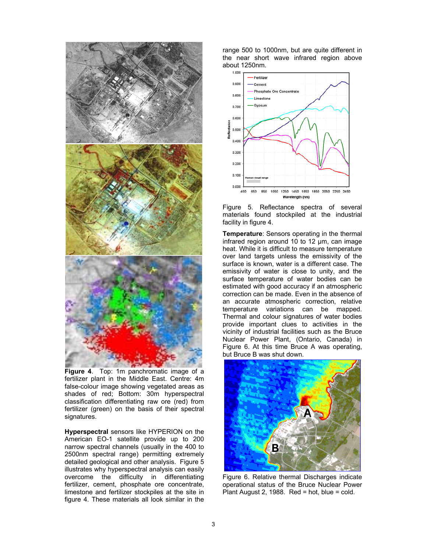

**Figure 4**. Top: 1m panchromatic image of a fertilizer plant in the Middle East. Centre: 4m false-colour image showing vegetated areas as shades of red; Bottom: 30m hyperspectral classification differentiating raw ore (red) from fertilizer (green) on the basis of their spectral signatures.

**Hyperspectral** sensors like HYPERION on the American EO-1 satellite provide up to 200 narrow spectral channels (usually in the 400 to 2500nm spectral range) permitting extremely detailed geological and other analysis. Figure 5 illustrates why hyperspectral analysis can easily overcome the difficulty in differentiating fertilizer, cement, phosphate ore concentrate, limestone and fertilizer stockpiles at the site in figure 4. These materials all look similar in the

range 500 to 1000nm, but are quite different in the near short wave infrared region above about 1250nm.



Figure 5. Reflectance spectra of several materials found stockpiled at the industrial facility in figure 4.

**Temperature**: Sensors operating in the thermal infrared region around 10 to 12 µm, can image heat. While it is difficult to measure temperature over land targets unless the emissivity of the surface is known, water is a different case. The emissivity of water is close to unity, and the surface temperature of water bodies can be estimated with good accuracy if an atmospheric correction can be made. Even in the absence of an accurate atmospheric correction, relative temperature variations can be mapped. Thermal and colour signatures of water bodies provide important clues to activities in the vicinity of industrial facilities such as the Bruce Nuclear Power Plant, (Ontario, Canada) in Figure 6. At this time Bruce A was operating, but Bruce B was shut down.



Figure 6. Relative thermal Discharges indicate operational status of the Bruce Nuclear Power Plant August 2, 1988. Red = hot, blue = cold.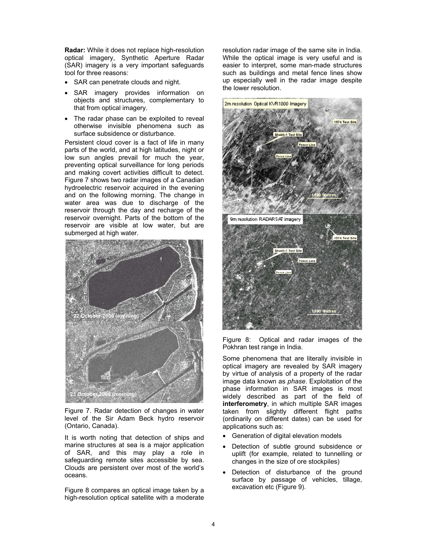**Radar:** While it does not replace high-resolution optical imagery, Synthetic Aperture Radar (SAR) imagery is a very important safeguards tool for three reasons:

- SAR can penetrate clouds and night.
- SAR imagery provides information on objects and structures, complementary to that from optical imagery.
- The radar phase can be exploited to reveal otherwise invisible phenomena such as surface subsidence or disturbance.

Persistent cloud cover is a fact of life in many parts of the world, and at high latitudes, night or low sun angles prevail for much the year, preventing optical surveillance for long periods and making covert activities difficult to detect. Figure 7 shows two radar images of a Canadian hydroelectric reservoir acquired in the evening and on the following morning. The change in water area was due to discharge of the reservoir through the day and recharge of the reservoir overnight. Parts of the bottom of the reservoir are visible at low water, but are submerged at high water.



Figure 7. Radar detection of changes in water level of the Sir Adam Beck hydro reservoir (Ontario, Canada).

It is worth noting that detection of ships and marine structures at sea is a major application of SAR, and this may play a role in safeguarding remote sites accessible by sea. Clouds are persistent over most of the world's oceans.

Figure 8 compares an optical image taken by a high-resolution optical satellite with a moderate resolution radar image of the same site in India. While the optical image is very useful and is easier to interpret, some man-made structures such as buildings and metal fence lines show up especially well in the radar image despite the lower resolution.



Figure 8: Optical and radar images of the Pokhran test range in India.

Some phenomena that are literally invisible in optical imagery are revealed by SAR imagery by virtue of analysis of a property of the radar image data known as *phase*. Exploitation of the phase information in SAR images is most widely described as part of the field of **interferometry**, in which multiple SAR images taken from slightly different flight paths (ordinarily on different dates) can be used for applications such as:

- Generation of digital elevation models
- Detection of subtle ground subsidence or uplift (for example, related to tunnelling or changes in the size of ore stockpiles)
- Detection of disturbance of the ground surface by passage of vehicles, tillage, excavation etc (Figure 9).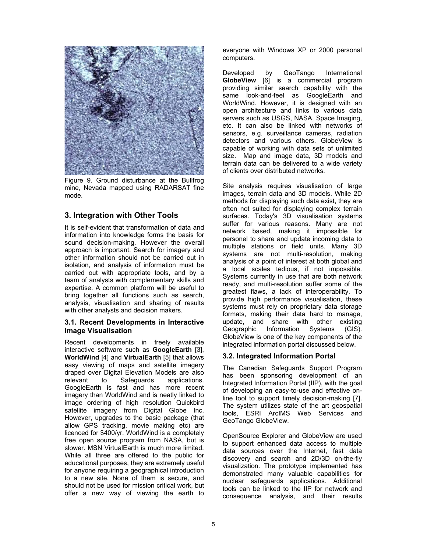

Figure 9. Ground disturbance at the Bullfrog mine, Nevada mapped using RADARSAT fine mode.

### **3. Integration with Other Tools**

It is self-evident that transformation of data and information into knowledge forms the basis for sound decision-making. However the overall approach is important. Search for imagery and other information should not be carried out in isolation, and analysis of information must be carried out with appropriate tools, and by a team of analysts with complementary skills and expertise. A common platform will be useful to bring together all functions such as search, analysis, visualisation and sharing of results with other analysts and decision makers.

#### **3.1. Recent Developments in Interactive Image Visualisation**

Recent developments in freely available interactive software such as **GoogleEarth** [3], **WorldWind** [4] and **VirtualEarth** [5] that allows easy viewing of maps and satellite imagery draped over Digital Elevation Models are also relevant to Safeguards applications. GoogleEarth is fast and has more recent imagery than WorldWind and is neatly linked to image ordering of high resolution Quickbird satellite imagery from Digital Globe Inc. However, upgrades to the basic package (that allow GPS tracking, movie making etc) are licenced for \$400/yr. WorldWind is a completely free open source program from NASA, but is slower. MSN VirtualEarth is much more limited. While all three are offered to the public for educational purposes, they are extremely useful for anyone requiring a geographical introduction to a new site. None of them is secure, and should not be used for mission critical work, but offer a new way of viewing the earth to

everyone with Windows XP or 2000 personal computers.

Developed by GeoTango International **GlobeView** [6] is a commercial program providing similar search capability with the same look-and-feel as GoogleEarth and WorldWind. However, it is designed with an open architecture and links to various data servers such as USGS, NASA, Space Imaging, etc. It can also be linked with networks of sensors, e.g. surveillance cameras, radiation detectors and various others. GlobeView is capable of working with data sets of unlimited size. Map and image data, 3D models and terrain data can be delivered to a wide variety of clients over distributed networks.

Site analysis requires visualisation of large images, terrain data and 3D models. While 2D methods for displaying such data exist, they are often not suited for displaying complex terrain surfaces. Today's 3D visualisation systems suffer for various reasons. Many are not network based, making it impossible for personel to share and update incoming data to multiple stations or field units. Many 3D systems are not multi-resolution, making analysis of a point of interest at both global and a local scales tedious, if not impossible. Systems currently in use that are both network ready, and multi-resolution suffer some of the greatest flaws, a lack of interoperability. To provide high performance visualisation, these systems must rely on proprietary data storage formats, making their data hard to manage, update, and share with other existing Geographic Information Systems (GIS). GlobeView is one of the key components of the integrated information portal discussed below.

### **3.2. Integrated Information Portal**

The Canadian Safeguards Support Program has been sponsoring development of an Integrated Information Portal (IIP), with the goal of developing an easy-to-use and effective online tool to support timely decision-making [7]. The system utilizes state of the art geospatial tools, ESRI ArcIMS Web Services and GeoTango GlobeView.

OpenSource Explorer and GlobeView are used to support enhanced data access to multiple data sources over the Internet, fast data discovery and search and 2D/3D on-the-fly visualization. The prototype implemented has demonstrated many valuable capabilities for nuclear safeguards applications. Additional tools can be linked to the IIP for network and consequence analysis, and their results